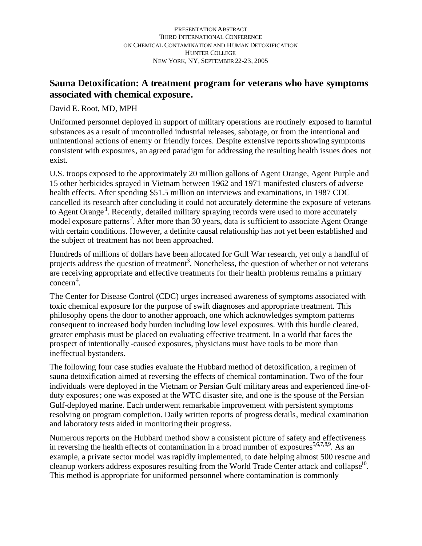# **Sauna Detoxification: A treatment program for veterans who have symptoms associated with chemical exposure.**

David E. Root, MD, MPH

Uniformed personnel deployed in support of military operations are routinely exposed to harmful substances as a result of uncontrolled industrial releases, sabotage, or from the intentional and unintentional actions of enemy or friendly forces. Despite extensive reports showing symptoms consistent with exposures, an agreed paradigm for addressing the resulting health issues does not exist.

U.S. troops exposed to the approximately 20 million gallons of Agent Orange, Agent Purple and 15 other herbicides sprayed in Vietnam between 1962 and 1971 manifested clusters of adverse health effects. After spending \$51.5 million on interviews and examinations, in 1987 CDC cancelled its research after concluding it could not accurately determine the exposure of veterans to Agent Orange<sup>1</sup>. Recently, detailed military spraying records were used to more accurately model exposure patterns<sup>2</sup>. After more than 30 years, data is sufficient to associate Agent Orange with certain conditions. However, a definite causal relationship has not yet been established and the subject of treatment has not been approached.

Hundreds of millions of dollars have been allocated for Gulf War research, yet only a handful of projects address the question of treatment<sup>3</sup>. Nonetheless, the question of whether or not veterans are receiving appropriate and effective treatments for their health problems remains a primary concern<sup>4</sup>.

The Center for Disease Control (CDC) urges increased awareness of symptoms associated with toxic chemical exposure for the purpose of swift diagnoses and appropriate treatment. This philosophy opens the door to another approach, one which acknowledges symptom patterns consequent to increased body burden including low level exposures. With this hurdle cleared, greater emphasis must be placed on evaluating effective treatment. In a world that faces the prospect of intentionally -caused exposures, physicians must have tools to be more than ineffectual bystanders.

The following four case studies evaluate the Hubbard method of detoxification, a regimen of sauna detoxification aimed at reversing the effects of chemical contamination. Two of the four individuals were deployed in the Vietnam or Persian Gulf military areas and experienced line-ofduty exposures; one was exposed at the WTC disaster site, and one is the spouse of the Persian Gulf-deployed marine. Each underwent remarkable improvement with persistent symptoms resolving on program completion. Daily written reports of progress details, medical examination and laboratory tests aided in monitoring their progress.

Numerous reports on the Hubbard method show a consistent picture of safety and effectiveness in reversing the health effects of contamination in a broad number of exposures  $5,6,7,8,9$ . As an example, a private sector model was rapidly implemented, to date helping almost 500 rescue and cleanup workers address exposures resulting from the World Trade Center attack and collapse<sup>10</sup>. This method is appropriate for uniformed personnel where contamination is commonly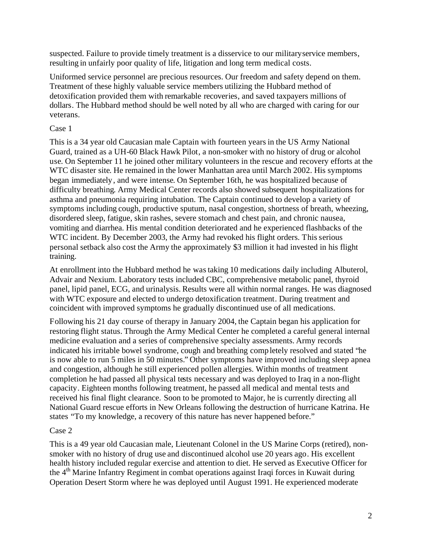suspected. Failure to provide timely treatment is a disservice to our military service members, resulting in unfairly poor quality of life, litigation and long term medical costs.

Uniformed service personnel are precious resources. Our freedom and safety depend on them. Treatment of these highly valuable service members utilizing the Hubbard method of detoxification provided them with remarkable recoveries, and saved taxpayers millions of dollars. The Hubbard method should be well noted by all who are charged with caring for our veterans.

## Case 1

This is a 34 year old Caucasian male Captain with fourteen years in the US Army National Guard, trained as a UH-60 Black Hawk Pilot, a non-smoker with no history of drug or alcohol use. On September 11 he joined other military volunteers in the rescue and recovery efforts at the WTC disaster site. He remained in the lower Manhattan area until March 2002. His symptoms began immediately, and were intense. On September 16th, he was hospitalized because of difficulty breathing. Army Medical Center records also showed subsequent hospitalizations for asthma and pneumonia requiring intubation. The Captain continued to develop a variety of symptoms including cough, productive sputum, nasal congestion, shortness of breath, wheezing, disordered sleep, fatigue, skin rashes, severe stomach and chest pain, and chronic nausea, vomiting and diarrhea. His mental condition deteriorated and he experienced flashbacks of the WTC incident. By December 2003, the Army had revoked his flight orders. This serious personal setback also cost the Army the approximately \$3 million it had invested in his flight training.

At enrollment into the Hubbard method he was taking 10 medications daily including Albuterol, Advair and Nexium. Laboratory tests included CBC, comprehensive metabolic panel, thyroid panel, lipid panel, ECG, and urinalysis. Results were all within normal ranges. He was diagnosed with WTC exposure and elected to undergo detoxification treatment. During treatment and coincident with improved symptoms he gradually discontinued use of all medications.

Following his 21 day course of therapy in January 2004, the Captain began his application for restoring flight status. Through the Army Medical Center he completed a careful general internal medicine evaluation and a series of comprehensive specialty assessments. Army records indicated his irritable bowel syndrome, cough and breathing comp letely resolved and stated "he is now able to run 5 miles in 50 minutes." Other symptoms have improved including sleep apnea and congestion, although he still experienced pollen allergies. Within months of treatment completion he had passed all physical tests necessary and was deployed to Iraq in a non-flight capacity. Eighteen months following treatment, he passed all medical and mental tests and received his final flight clearance. Soon to be promoted to Major, he is currently directing all National Guard rescue efforts in New Orleans following the destruction of hurricane Katrina. He states "To my knowledge, a recovery of this nature has never happened before."

## Case 2

This is a 49 year old Caucasian male, Lieutenant Colonel in the US Marine Corps (retired), nonsmoker with no history of drug use and discontinued alcohol use 20 years ago. His excellent health history included regular exercise and attention to diet. He served as Executive Officer for the  $4<sup>th</sup>$  Marine Infantry Regiment in combat operations against Iraqi forces in Kuwait during Operation Desert Storm where he was deployed until August 1991. He experienced moderate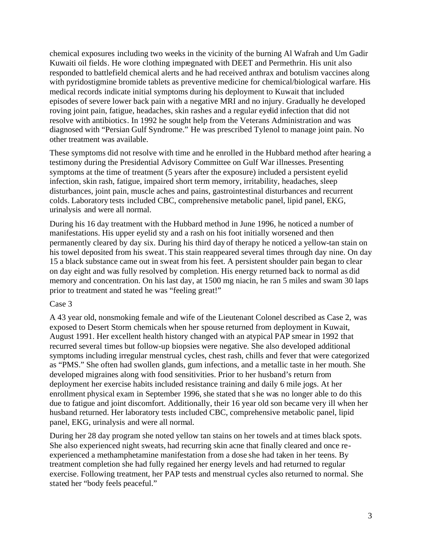chemical exposures including two weeks in the vicinity of the burning Al Wafrah and Um Gadir Kuwaiti oil fields. He wore clothing impregnated with DEET and Permethrin. His unit also responded to battlefield chemical alerts and he had received anthrax and botulism vaccines along with pyridostigmine bromide tablets as preventive medicine for chemical/biological warfare. His medical records indicate initial symptoms during his deployment to Kuwait that included episodes of severe lower back pain with a negative MRI and no injury. Gradually he developed roving joint pain, fatigue, headaches, skin rashes and a regular eyelid infection that did not resolve with antibiotics. In 1992 he sought help from the Veterans Administration and was diagnosed with "Persian Gulf Syndrome." He was prescribed Tylenol to manage joint pain. No other treatment was available.

These symptoms did not resolve with time and he enrolled in the Hubbard method after hearing a testimony during the Presidential Advisory Committee on Gulf War illnesses. Presenting symptoms at the time of treatment (5 years after the exposure) included a persistent eyelid infection, skin rash, fatigue, impaired short term memory, irritability, headaches, sleep disturbances, joint pain, muscle aches and pains, gastrointestinal disturbances and recurrent colds. Laboratory tests included CBC, comprehensive metabolic panel, lipid panel, EKG, urinalysis and were all normal.

During his 16 day treatment with the Hubbard method in June 1996, he noticed a number of manifestations. His upper eyelid sty and a rash on his foot initially worsened and then permanently cleared by day six. During his third day of therapy he noticed a yellow-tan stain on his towel deposited from his sweat. This stain reappeared several times through day nine. On day 15 a black substance came out in sweat from his feet. A persistent shoulder pain began to clear on day eight and was fully resolved by completion. His energy returned back to normal as did memory and concentration. On his last day, at 1500 mg niacin, he ran 5 miles and swam 30 laps prior to treatment and stated he was "feeling great!"

### Case 3

A 43 year old, nonsmoking female and wife of the Lieutenant Colonel described as Case 2, was exposed to Desert Storm chemicals when her spouse returned from deployment in Kuwait, August 1991. Her excellent health history changed with an atypical PAP smear in 1992 that recurred several times but follow-up biopsies were negative. She also developed additional symptoms including irregular menstrual cycles, chest rash, chills and fever that were categorized as "PMS." She often had swollen glands, gum infections, and a metallic taste in her mouth. She developed migraines along with food sensitivities. Prior to her husband's return from deployment her exercise habits included resistance training and daily 6 mile jogs. At her enrollment physical exam in September 1996, she stated that s he was no longer able to do this due to fatigue and joint discomfort. Additionally, their 16 year old son became very ill when her husband returned. Her laboratory tests included CBC, comprehensive metabolic panel, lipid panel, EKG, urinalysis and were all normal.

During her 28 day program she noted yellow tan stains on her towels and at times black spots. She also experienced night sweats, had recurring skin acne that finally cleared and once reexperienced a methamphetamine manifestation from a dose she had taken in her teens. By treatment completion she had fully regained her energy levels and had returned to regular exercise. Following treatment, her PAP tests and menstrual cycles also returned to normal. She stated her "body feels peaceful."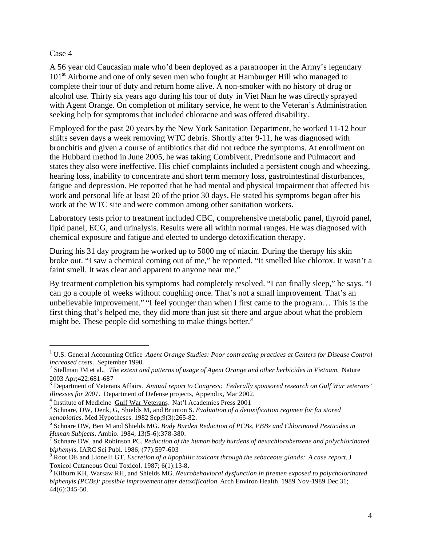### Case 4

 $\overline{a}$ 

A 56 year old Caucasian male who'd been deployed as a paratrooper in the Army's legendary 101<sup>st</sup> Airborne and one of only seven men who fought at Hamburger Hill who managed to complete their tour of duty and return home alive. A non-smoker with no history of drug or alcohol use. Thirty six years ago during his tour of duty in Viet Nam he was directly sprayed with Agent Orange. On completion of military service, he went to the Veteran's Administration seeking help for symptoms that included chloracne and was offered disability.

Employed for the past 20 years by the New York Sanitation Department, he worked 11-12 hour shifts seven days a week removing WTC debris. Shortly after 9-11, he was diagnosed with bronchitis and given a course of antibiotics that did not reduce the symptoms. At enrollment on the Hubbard method in June 2005, he was taking Combivent, Prednisone and Pulmacort and states they also were ineffective. His chief complaints included a persistent cough and wheezing, hearing loss, inability to concentrate and short term memory loss, gastrointestinal disturbances, fatigue and depression. He reported that he had mental and physical impairment that affected his work and personal life at least 20 of the prior 30 days. He stated his symptoms began after his work at the WTC site and were common among other sanitation workers.

Laboratory tests prior to treatment included CBC, comprehensive metabolic panel, thyroid panel, lipid panel, ECG, and urinalysis. Results were all within normal ranges. He was diagnosed with chemical exposure and fatigue and elected to undergo detoxification therapy.

During his 31 day program he worked up to 5000 mg of niacin. During the therapy his skin broke out. "I saw a chemical coming out of me," he reported. "It smelled like chlorox. It wasn't a faint smell. It was clear and apparent to anyone near me."

By treatment completion his symptoms had completely resolved. "I can finally sleep," he says. "I can go a couple of weeks without coughing once. That's not a small improvement. That's an unbelievable improvement." "I feel younger than when I first came to the program… This is the first thing that's helped me, they did more than just sit there and argue about what the problem might be. These people did something to make things better."

<sup>&</sup>lt;sup>1</sup> U.S. General Accounting Office Agent Orange Studies: Poor contracting practices at Centers for Disease Control *increased costs*. September 1990. 2 Stellman JM et al., *The extent and patterns of usage of Agent Orange and other herbicides in Vietnam.* Nature

<sup>2003</sup> Apr;422:681-687 3 Department of Veterans Affairs. *Annual report to Congress: Federally sponsored research on Gulf War veterans' illnesses for 2001*. Department of Defense projects, Appendix, Mar 2002.

<sup>&</sup>lt;sup>4</sup> Institute of Medicine Gulf War Veterans. Nat'l Academies Press 2001

<sup>5</sup> Schnare, DW, Denk, G, Shields M, and Brunton S. *Evaluation of a detoxification regimen for fat stored xenobiotics*. Med Hypotheses. 1982 Sep;9(3):265-82.

<sup>6</sup> Schnare DW, Ben M and Shields MG. *Body Burden Reduction of PCBs, PBBs and Chlorinated Pesticides in Human Subjects*. Ambio. 1984; 13(5-6):378-380.

<sup>7</sup> Schnare DW, and Robinson PC. *Reduction of the human body burdens of hexachlorobenzene and polychlorinated biphenyls*. IARC Sci Publ. 1986; (77):597-603

<sup>8</sup> Root DE and Lionelli GT. *Excretion of a lipophilic toxicant through the sebaceous glands: A case report.* J Toxicol Cutaneous Ocul Toxicol. 1987; 6(1):13-8.

<sup>9</sup> Kilburn KH, Warsaw RH, and Shields MG. *Neurobehavioral dysfunction in firemen exposed to polycholorinated biphenyls (PCBs): possible improvement after detoxification.* Arch Environ Health. 1989 Nov-1989 Dec 31; 44(6):345-50.